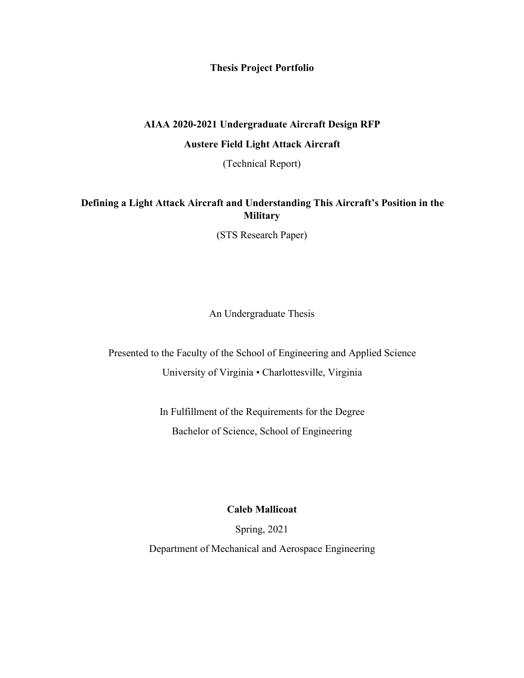**Thesis Project Portfolio**

# **AIAA 2020-2021 Undergraduate Aircraft Design RFP Austere Field Light Attack Aircraft**

(Technical Report)

### **Defining a Light Attack Aircraft and Understanding This Aircraft's Position in the Military**

(STS Research Paper)

An Undergraduate Thesis

Presented to the Faculty of the School of Engineering and Applied Science University of Virginia • Charlottesville, Virginia

> In Fulfillment of the Requirements for the Degree Bachelor of Science, School of Engineering

> > **Caleb Mallicoat**

Spring, 2021

Department of Mechanical and Aerospace Engineering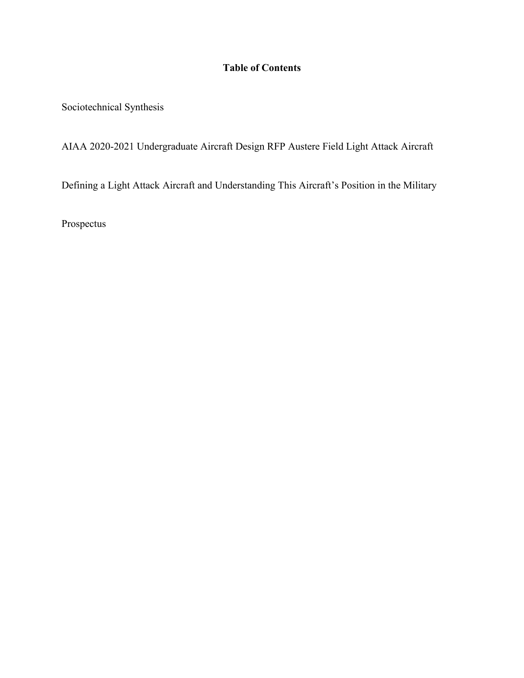## **Table of Contents**

Sociotechnical Synthesis

AIAA 2020-2021 Undergraduate Aircraft Design RFP Austere Field Light Attack Aircraft

Defining a Light Attack Aircraft and Understanding This Aircraft's Position in the Military

Prospectus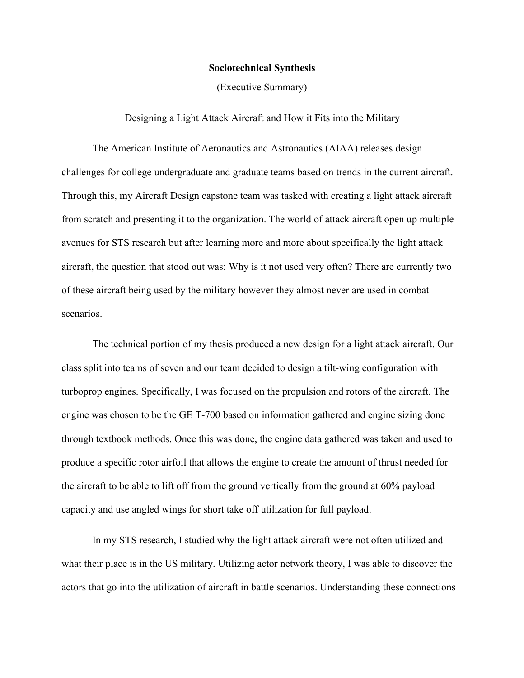#### **Sociotechnical Synthesis**

(Executive Summary)

### Designing a Light Attack Aircraft and How it Fits into the Military

The American Institute of Aeronautics and Astronautics (AIAA) releases design challenges for college undergraduate and graduate teams based on trends in the current aircraft. Through this, my Aircraft Design capstone team was tasked with creating a light attack aircraft from scratch and presenting it to the organization. The world of attack aircraft open up multiple avenues for STS research but after learning more and more about specifically the light attack aircraft, the question that stood out was: Why is it not used very often? There are currently two of these aircraft being used by the military however they almost never are used in combat scenarios.

The technical portion of my thesis produced a new design for a light attack aircraft. Our class split into teams of seven and our team decided to design a tilt-wing configuration with turboprop engines. Specifically, I was focused on the propulsion and rotors of the aircraft. The engine was chosen to be the GE T-700 based on information gathered and engine sizing done through textbook methods. Once this was done, the engine data gathered was taken and used to produce a specific rotor airfoil that allows the engine to create the amount of thrust needed for the aircraft to be able to lift off from the ground vertically from the ground at 60% payload capacity and use angled wings for short take off utilization for full payload.

In my STS research, I studied why the light attack aircraft were not often utilized and what their place is in the US military. Utilizing actor network theory, I was able to discover the actors that go into the utilization of aircraft in battle scenarios. Understanding these connections